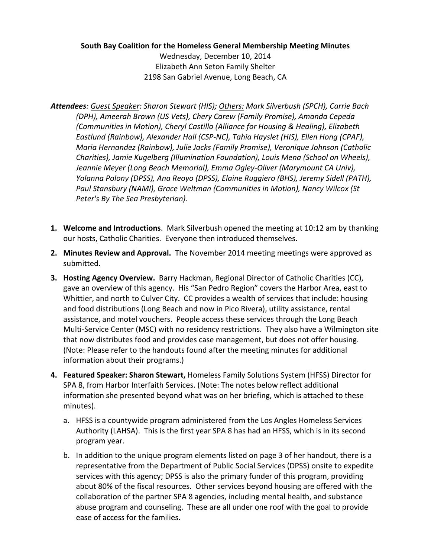#### **South Bay Coalition for the Homeless General Membership Meeting Minutes**

Wednesday, December 10, 2014 Elizabeth Ann Seton Family Shelter 2198 San Gabriel Avenue, Long Beach, CA

- *Attendees: Guest Speaker: Sharon Stewart (HIS); Others: Mark Silverbush (SPCH), Carrie Bach (DPH), Ameerah Brown (US Vets), Chery Carew (Family Promise), Amanda Cepeda (Communities in Motion), Cheryl Castillo (Alliance for Housing & Healing), Elizabeth* Eastlund (Rainbow), Alexander Hall (CSP-NC), Tahia Hayslet (HIS), Ellen Hong (CPAF), *Maria Hernandez (Rainbow), Julie Jacks (Family Promise), Veronique Johnson (Catholic* Charities), Jamie Kugelberg (Illumination Foundation), Louis Mena (School on Wheels), Jeannie Meyer (Long Beach Memorial), Emma Ogley-Oliver (Marymount CA Univ), *Yolanna Polony (DPSS), Ana Reoyo (DPSS), Elaine Ruggiero (BHS), Jeremy Sidell (PATH),* Paul Stansbury (NAMI), Grace Weltman (Communities in Motion), Nancy Wilcox (St Peter's By The Sea Presbyterian).
- **1.** Welcome and Introductions. Mark Silverbush opened the meeting at 10:12 am by thanking our hosts, Catholic Charities. Everyone then introduced themselves.
- **2. Minutes Review and Approval.** The November 2014 meeting meetings were approved as submitted.
- **3. Hosting Agency Overview.** Barry Hackman, Regional Director of Catholic Charities (CC), gave an overview of this agency. His "San Pedro Region" covers the Harbor Area, east to Whittier, and north to Culver City. CC provides a wealth of services that include: housing and food distributions (Long Beach and now in Pico Rivera), utility assistance, rental assistance, and motel vouchers. People access these services through the Long Beach Multi-Service Center (MSC) with no residency restrictions. They also have a Wilmington site that now distributes food and provides case management, but does not offer housing. (Note: Please refer to the handouts found after the meeting minutes for additional information about their programs.)
- **4. Featured Speaker: Sharon Stewart, Homeless Family Solutions System (HFSS) Director for** SPA 8, from Harbor Interfaith Services. (Note: The notes below reflect additional information she presented beyond what was on her briefing, which is attached to these minutes).
	- a. HFSS is a countywide program administered from the Los Angles Homeless Services Authority (LAHSA). This is the first year SPA 8 has had an HFSS, which is in its second program year.
	- b. In addition to the unique program elements listed on page 3 of her handout, there is a representative from the Department of Public Social Services (DPSS) onsite to expedite services with this agency; DPSS is also the primary funder of this program, providing about 80% of the fiscal resources. Other services beyond housing are offered with the collaboration of the partner SPA 8 agencies, including mental health, and substance abuse program and counseling. These are all under one roof with the goal to provide ease of access for the families.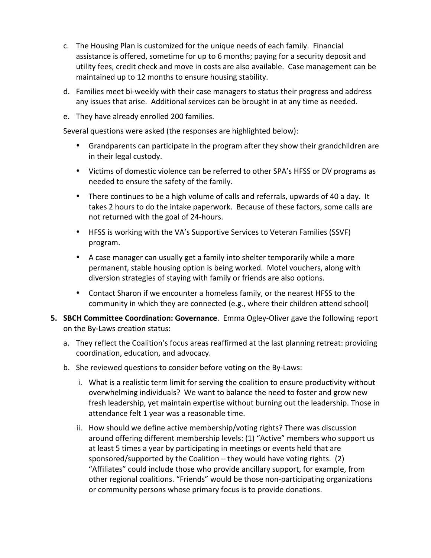- c. The Housing Plan is customized for the unique needs of each family. Financial assistance is offered, sometime for up to 6 months; paying for a security deposit and utility fees, credit check and move in costs are also available. Case management can be maintained up to 12 months to ensure housing stability.
- d. Families meet bi-weekly with their case managers to status their progress and address any issues that arise. Additional services can be brought in at any time as needed.
- e. They have already enrolled 200 families.

Several questions were asked (the responses are highlighted below):

- Grandparents can participate in the program after they show their grandchildren are in their legal custody.
- Victims of domestic violence can be referred to other SPA's HFSS or DV programs as needed to ensure the safety of the family.
- There continues to be a high volume of calls and referrals, upwards of 40 a day. It takes 2 hours to do the intake paperwork. Because of these factors, some calls are not returned with the goal of 24-hours.
- HFSS is working with the VA's Supportive Services to Veteran Families (SSVF) program.
- A case manager can usually get a family into shelter temporarily while a more permanent, stable housing option is being worked. Motel vouchers, along with diversion strategies of staying with family or friends are also options.
- Contact Sharon if we encounter a homeless family, or the nearest HFSS to the community in which they are connected (e.g., where their children attend school)
- **5. SBCH Committee Coordination: Governance.** Emma Ogley-Oliver gave the following report on the By-Laws creation status:
	- a. They reflect the Coalition's focus areas reaffirmed at the last planning retreat: providing coordination, education, and advocacy.
	- b. She reviewed questions to consider before voting on the By-Laws:
		- i. What is a realistic term limit for serving the coalition to ensure productivity without overwhelming individuals? We want to balance the need to foster and grow new fresh leadership, yet maintain expertise without burning out the leadership. Those in attendance felt 1 year was a reasonable time.
		- ii. How should we define active membership/voting rights? There was discussion around offering different membership levels: (1) "Active" members who support us at least 5 times a year by participating in meetings or events held that are sponsored/supported by the Coalition – they would have voting rights.  $(2)$ "Affiliates" could include those who provide ancillary support, for example, from other regional coalitions. "Friends" would be those non-participating organizations or community persons whose primary focus is to provide donations.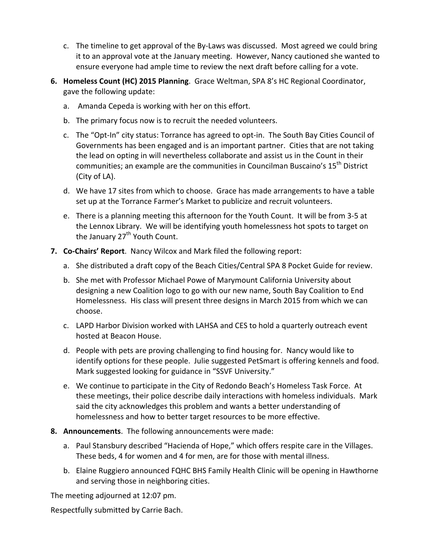- c. The timeline to get approval of the By-Laws was discussed. Most agreed we could bring it to an approval vote at the January meeting. However, Nancy cautioned she wanted to ensure everyone had ample time to review the next draft before calling for a vote.
- **6. Homeless Count (HC) 2015 Planning**. Grace Weltman, SPA 8's HC Regional Coordinator, gave the following update:
	- a. Amanda Cepeda is working with her on this effort.
	- b. The primary focus now is to recruit the needed volunteers.
	- c. The "Opt-In" city status: Torrance has agreed to opt-in. The South Bay Cities Council of Governments has been engaged and is an important partner. Cities that are not taking the lead on opting in will nevertheless collaborate and assist us in the Count in their communities; an example are the communities in Councilman Buscaino's  $15^{th}$  District (City of LA).
	- d. We have 17 sites from which to choose. Grace has made arrangements to have a table set up at the Torrance Farmer's Market to publicize and recruit volunteers.
	- e. There is a planning meeting this afternoon for the Youth Count. It will be from 3-5 at the Lennox Library. We will be identifying youth homelessness hot spots to target on the January  $27<sup>th</sup>$  Youth Count.
- **7. Co-Chairs' Report.** Nancy Wilcox and Mark filed the following report:
	- a. She distributed a draft copy of the Beach Cities/Central SPA 8 Pocket Guide for review.
	- b. She met with Professor Michael Powe of Marymount California University about designing a new Coalition logo to go with our new name, South Bay Coalition to End Homelessness. His class will present three designs in March 2015 from which we can choose.
	- c. LAPD Harbor Division worked with LAHSA and CES to hold a quarterly outreach event hosted at Beacon House.
	- d. People with pets are proving challenging to find housing for. Nancy would like to identify options for these people. Julie suggested PetSmart is offering kennels and food. Mark suggested looking for guidance in "SSVF University."
	- e. We continue to participate in the City of Redondo Beach's Homeless Task Force. At these meetings, their police describe daily interactions with homeless individuals. Mark said the city acknowledges this problem and wants a better understanding of homelessness and how to better target resources to be more effective.
- **8. Announcements**. The following announcements were made:
	- a. Paul Stansbury described "Hacienda of Hope," which offers respite care in the Villages. These beds, 4 for women and 4 for men, are for those with mental illness.
	- b. Elaine Ruggiero announced FQHC BHS Family Health Clinic will be opening in Hawthorne and serving those in neighboring cities.

The meeting adjourned at 12:07 pm.

Respectfully submitted by Carrie Bach.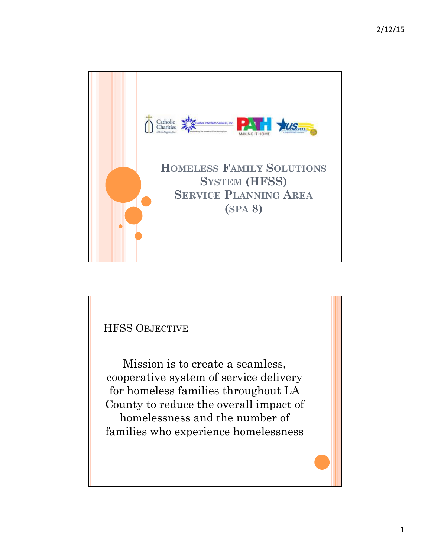

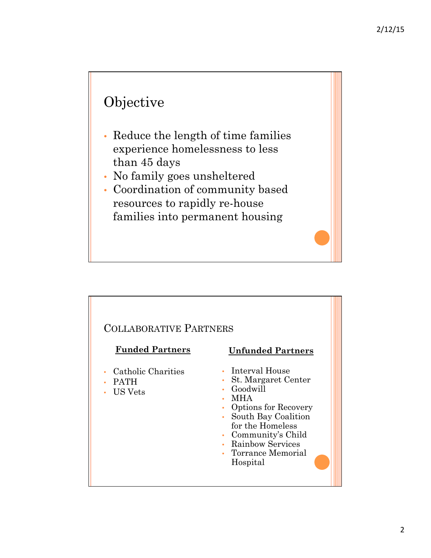# Objective

- Reduce the length of time families experience homelessness to less than 45 days
- No family goes unsheltered
- Coordination of community based resources to rapidly re-house families into permanent housing

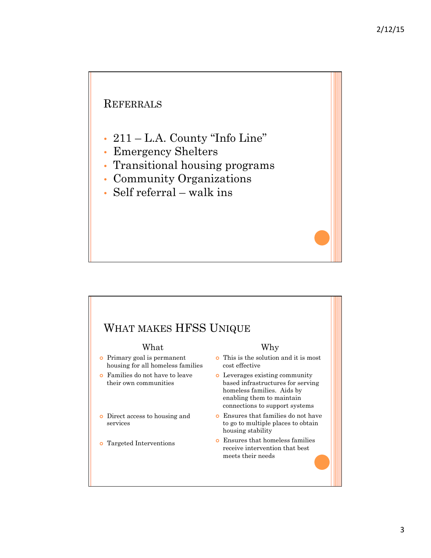### **REFERRALS**

- 211 L.A. County "Info Line"
- Emergency Shelters
- Transitional housing programs
- Community Organizations
- Self referral walk ins

## WHAT MAKES HFSS UNIQUE

#### What

- ¢ Primary goal is permanent housing for all homeless families
- ¢ Families do not have to leave their own communities
- ¢ Direct access to housing and services
- ¢ Targeted Interventions

#### Why

- ¢ This is the solution and it is most cost effective
- ¢ Leverages existing community based infrastructures for serving homeless families. Aids by enabling them to maintain connections to support systems
- ¢ Ensures that families do not have to go to multiple places to obtain housing stability
- ¢ Ensures that homeless families receive intervention that best meets their needs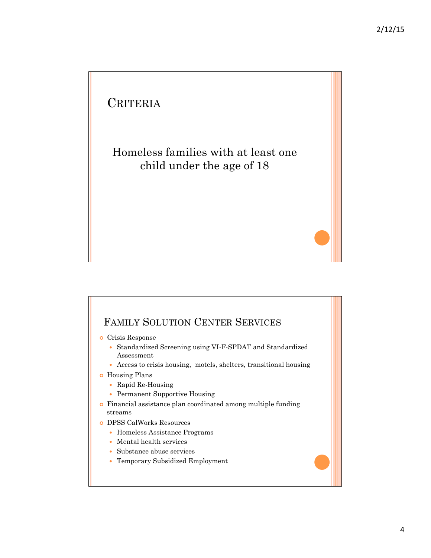# **CRITERIA** Homeless families with at least one child under the age of 18



- ¢ Crisis Response
	- Standardized Screening using VI-F-SPDAT and Standardized Assessment
	- Access to crisis housing, motels, shelters, transitional housing
- ¢ Housing Plans
	- Rapid Re-Housing
	- Permanent Supportive Housing
- ¢ Financial assistance plan coordinated among multiple funding streams
- ¢ DPSS CalWorks Resources
	- Homeless Assistance Programs
	- Mental health services
	- Substance abuse services
	- Temporary Subsidized Employment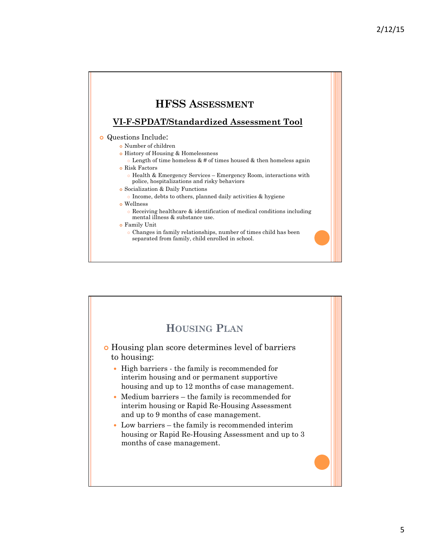#### **HFSS ASSESSMENT VI-F-SPDAT/Standardized Assessment Tool**  ¢ Questions Include: ¢ Number of children ¢ History of Housing & Homelessness Length of time homeless  $& #$  of times housed  $&$  then homeless again ¢ Risk Factors ¢ Health & Emergency Services – Emergency Room, interactions with police, hospitalizations and risky behaviors ¢ Socialization & Daily Functions ¢ Income, debts to others, planned daily activities & hygiene ¢ Wellness ¢ Receiving healthcare & identification of medical conditions including mental illness & substance use. ¢ Family Unit ¢ Changes in family relationships, number of times child has been separated from family, child enrolled in school.

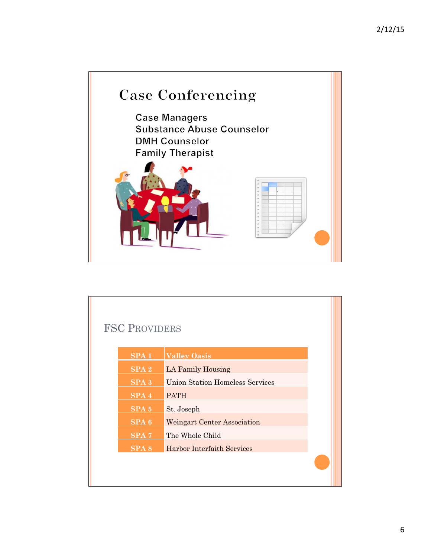

| <b>FSC PROVIDERS</b> |                  |                                        |  |
|----------------------|------------------|----------------------------------------|--|
|                      | SPA1             | <b>Valley Oasis</b>                    |  |
|                      | SPA <sub>2</sub> | LA Family Housing                      |  |
|                      | $SPA$ $3$        | <b>Union Station Homeless Services</b> |  |
|                      | SPA 4            | <b>PATH</b>                            |  |
|                      | SPA <sub>5</sub> | St. Joseph                             |  |
|                      | SPA <sub>6</sub> | <b>Weingart Center Association</b>     |  |
|                      | SPA <sub>7</sub> | The Whole Child                        |  |
|                      | SPA <sub>8</sub> | Harbor Interfaith Services             |  |
|                      |                  |                                        |  |
|                      |                  |                                        |  |

Т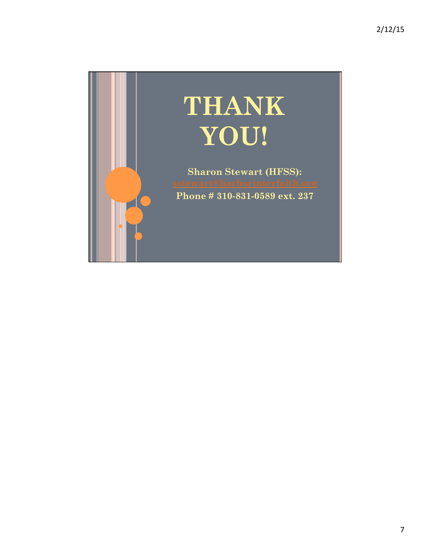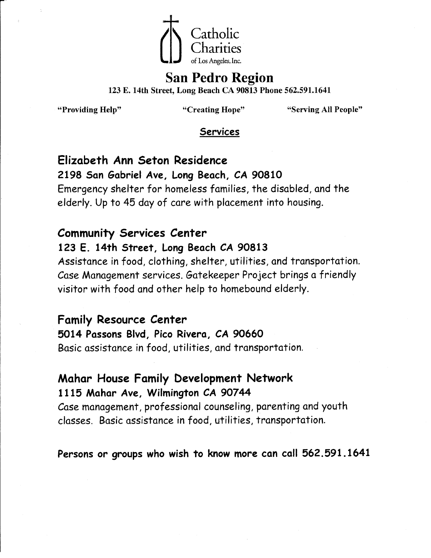

# **San Pedro Region**

123 E. 14th Street, Long Beach CA 90813 Phone 562.591.1641

"Providing Help"

"Creating Hope"

"Serving All People"

#### **Services**

Elizabeth Ann Seton Residence

#### 2198 San Gabriel Ave, Long Beach, CA 90810

Emergency shelter for homeless families, the disabled, and the elderly. Up to 45 day of care with placement into housing.

## **Community Services Center**

## 123 E. 14th Street, Long Beach CA 90813

Assistance in food, clothing, shelter, utilities, and transportation. Case Management services. Gatekeeper Project brings a friendly visitor with food and other help to homebound elderly.

#### **Family Resource Center**

5014 Passons Blvd, Pico Rivera, CA 90660 Basic assistance in food, utilities, and transportation.

## Mahar House Family Development Network 1115 Mahar Ave, Wilmington CA 90744

Case management, professional counseling, parenting and youth classes. Basic assistance in food, utilities, transportation.

## Persons or groups who wish to know more can call 562.591.1641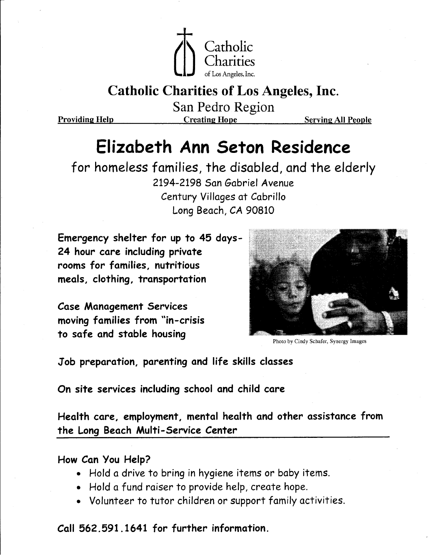

**Providing Help** 

San Pedro Region **Creating Hope** 

**Serving All People** 

# Elizabeth Ann Seton Residence

for homeless families, the disabled, and the elderly 2194-2198 San Gabriel Avenue Century Villages at Cabrillo Long Beach, CA 90810

Emergency shelter for up to 45 days-24 hour care including private rooms for families, nutritious meals, clothing, transportation

**Case Management Services** moving families from "in-crisis to safe and stable housing



Photo by Cindy Schafer, Synergy Images

Job preparation, parenting and life skills classes

On site services including school and child care

Health care, employment, mental health and other assistance from the Long Beach Multi-Service Center

How Can You Help?

- Hold a drive to bring in hygiene items or baby items.
- Hold a fund raiser to provide help, create hope.
- Volunteer to tutor children or support family activities.

Call 562, 591, 1641 for further information.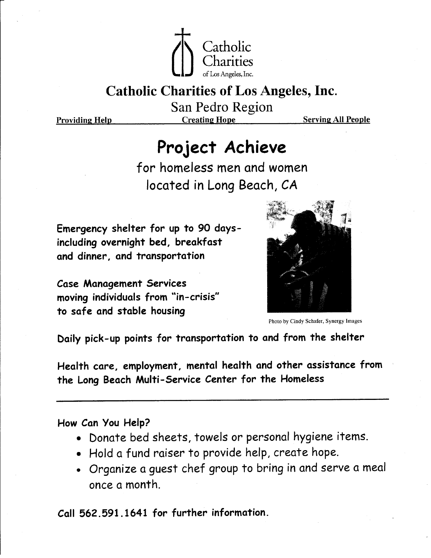

San Pedro Region

**Providing Help** 

**Creating Hope** 

**Serving All People** 

# Project Achieve

for homeless men and women located in Long Beach, CA

Emergency shelter for up to 90 daysincluding overnight bed, breakfast and dinner, and transportation

**Case Management Services** moving individuals from "in-crisis" to safe and stable housing



Photo by Cindy Schafer, Synergy Images

Daily pick-up points for transportation to and from the shelter

Health care, employment, mental health and other assistance from the Long Beach Multi-Service Center for the Homeless

How Can You Help?

- · Donate bed sheets, towels or personal hygiene items.
- Hold a fund raiser to provide help, create hope.
- Organize a guest chef group to bring in and serve a meal once a month.

Call 562.591.1641 for further information.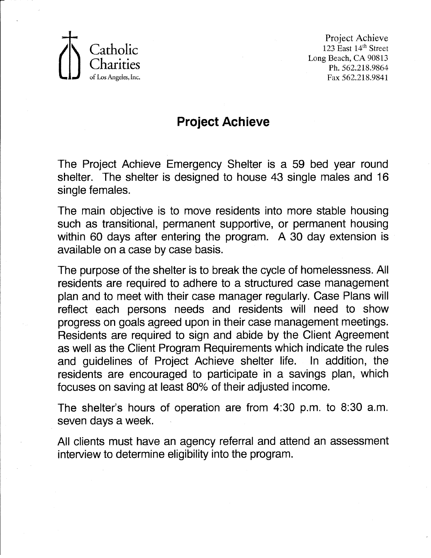

Project Achieve 123 East 14th Street Long Beach, CA 90813 Ph. 562.218.9864 Fax 562.218.9841

## **Project Achieve**

The Project Achieve Emergency Shelter is a 59 bed year round shelter. The shelter is designed to house 43 single males and 16 single females.

The main objective is to move residents into more stable housing such as transitional, permanent supportive, or permanent housing within 60 days after entering the program. A 30 day extension is available on a case by case basis.

The purpose of the shelter is to break the cycle of homelessness. All residents are required to adhere to a structured case management plan and to meet with their case manager regularly. Case Plans will reflect each persons needs and residents will need to show progress on goals agreed upon in their case management meetings. Residents are required to sign and abide by the Client Agreement as well as the Client Program Requirements which indicate the rules and quidelines of Project Achieve shelter life. In addition, the residents are encouraged to participate in a savings plan, which focuses on saving at least 80% of their adjusted income.

The shelter's hours of operation are from 4:30 p.m. to 8:30 a.m. seven days a week.

All clients must have an agency referral and attend an assessment interview to determine eligibility into the program.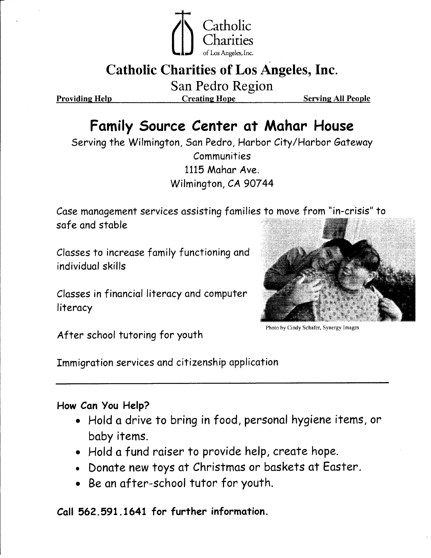

San Pedro Region

**Providing Help** 

**Creating Hope** 

**Serving All People** 

# Family Source Center at Mahar House

Serving the Wilmington, San Pedro, Harbor City/Harbor Gateway Communities 1115 Mahar Ave. Wilmington, CA 90744

Case management services assisting families to move from "in-crisis" to safe and stable

Classes to increase family functioning and individual skills

Classes in financial literacy and computer literacy



Photo by Cindy Schafer, Synergy Images

After school tutoring for youth

Immigration services and citizenship application

#### How Can You Help?

- . Hold a drive to bring in food, personal hygiene items, or baby items.
- Hold a fund raiser to provide help, create hope.
- Donate new toys at Christmas or baskets at Easter.
- Be an after-school tutor for youth.

Call 562, 591, 1641 for further information.